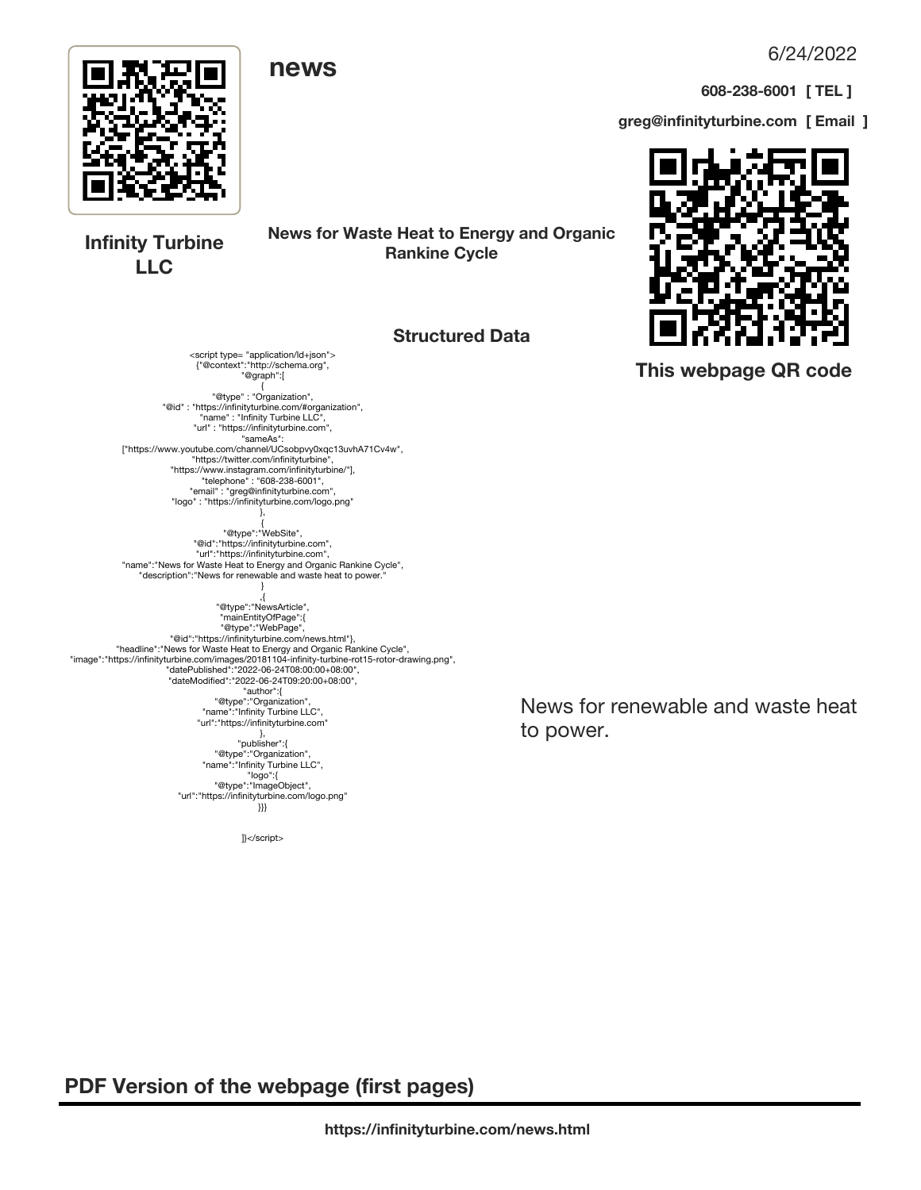6/24/2022

**608-238-6001 [ TEL ]**

**greg@infinityturbine.com [ Email ]**



**Infinity Turbine LLC**

**News for Waste Heat to Energy and Organic Rankine Cycle**

#### **Structured Data**

<script type= "application/ld+json"> {"@context":"http://schema.org", "@graph":[ { "@type" : "Organization", "@id" : "https://infinityturbine.com/#organization", "name" : "Infinity Turbine LLC", "url" : "https://infinityturbine.com", "sameAs": ["https://www.youtube.com/channel/UCsobpvy0xqc13uvhA71Cv4w", "https://twitter.com/infinityturbine", "https://www.instagram.com/infinityturbine/"], "telephone" : "608-238-6001",

"email" : "greg@infinityturbine.com", "logo" : "https://infinityturbine.com/logo.png" },

{ "@type":"WebSite", "@id":"https://infinityturbine.com", "url":"https://infinityturbine.com", "name":"News for Waste Heat to Energy and Organic Rankine Cycle",

"description":"News for renewable and waste heat to power." } },<br>,"@type":"NewsArticle",

"mainEntityOfPage":{ "@type":"WebPage", "@id":"https://infinityturbine.com/news.html"}, "headline":"News for Waste Heat to Energy and Organic Rankine Cycle", "image":"https://infinityturbine.com/images/20181104-infinity-turbine-rot15-rotor-drawing.png", "datePublished":"2022-06-24T08:00:00+08:00", "dateModified":"2022-06-24T09:20:00+08:00", "author":{ "@type":"Organization", "name":"Infinity Turbine LLC", "url":"https://infinityturbine.com" }, "publisher":{ "@type":"Organization", "name":"Infinity Turbine LLC", "logo":{ "@type":"ImageObject",

"url":"https://infinityturbine.com/logo.png" }}}

]}</script>

News for renewable and waste heat to power.

 **PDF Version of the webpage (first pages)**



 **This webpage QR code**

# **news**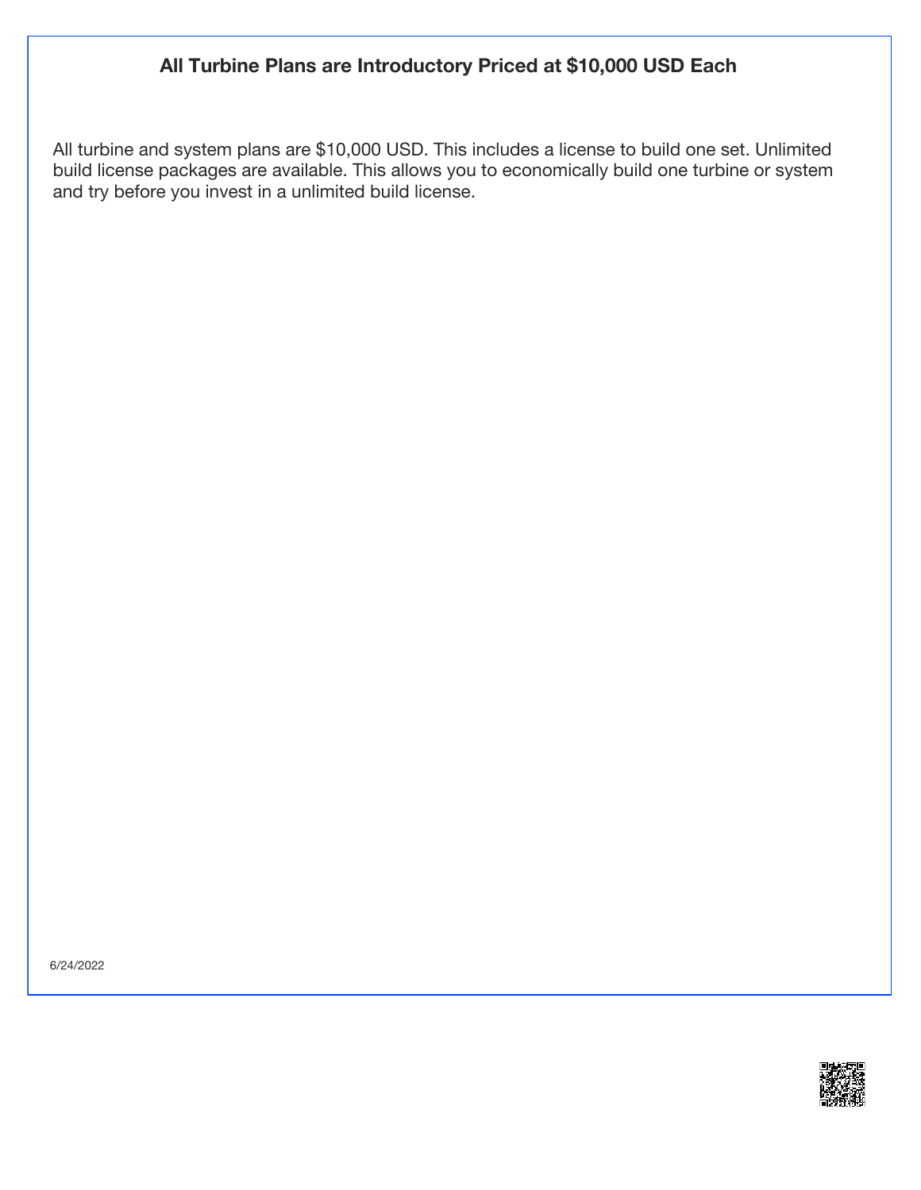## **All Turbine Plans are Introductory Priced at \$10,000 USD Each**

All turbine and system plans are \$10,000 USD. This includes a license to build one set. Unlimited build license packages are available. This allows you to economically build one turbine or system and try before you invest in a unlimited build license.

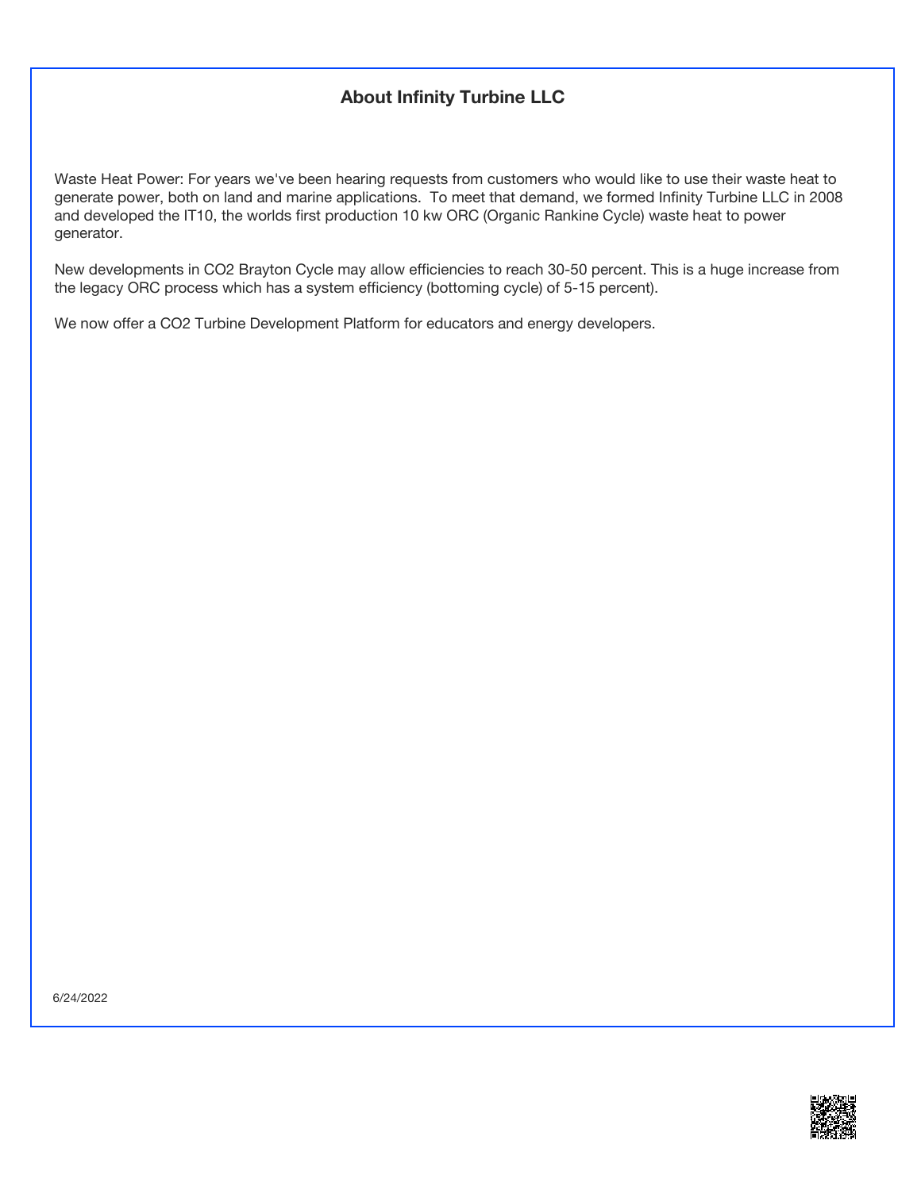## **About Infinity Turbine LLC**

Waste Heat Power: For years we've been hearing requests from customers who would like to use their waste heat to generate power, both on land and marine applications. To meet that demand, we formed Infinity Turbine LLC in 2008 and developed the IT10, the worlds first production 10 kw ORC (Organic Rankine Cycle) waste heat to power generator.

New developments in CO2 Brayton Cycle may allow efficiencies to reach 30-50 percent. This is a huge increase from the legacy ORC process which has a system efficiency (bottoming cycle) of 5-15 percent).

We now offer a CO2 Turbine Development Platform for educators and energy developers.

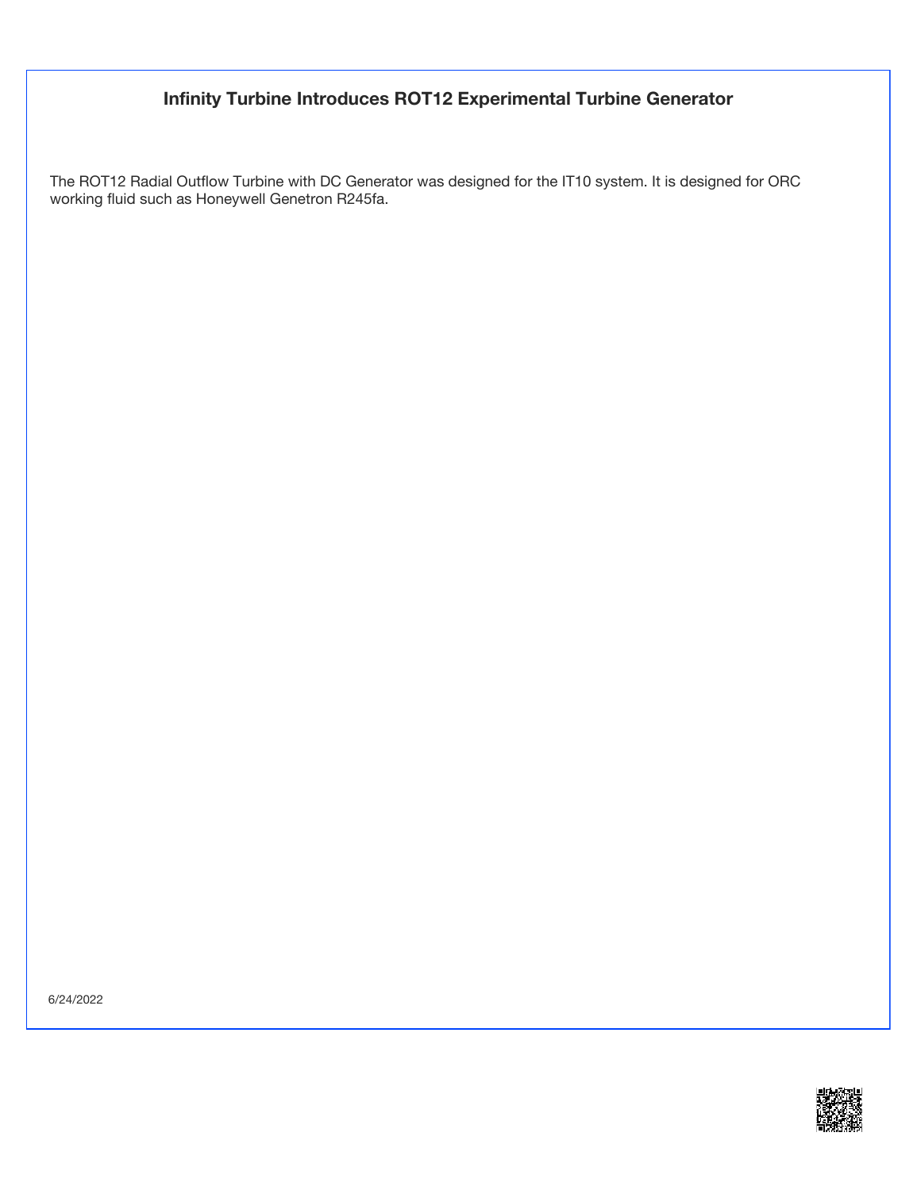### **Infinity Turbine Introduces ROT12 Experimental Turbine Generator**

The ROT12 Radial Outflow Turbine with DC Generator was designed for the IT10 system. It is designed for ORC working fluid such as Honeywell Genetron R245fa.

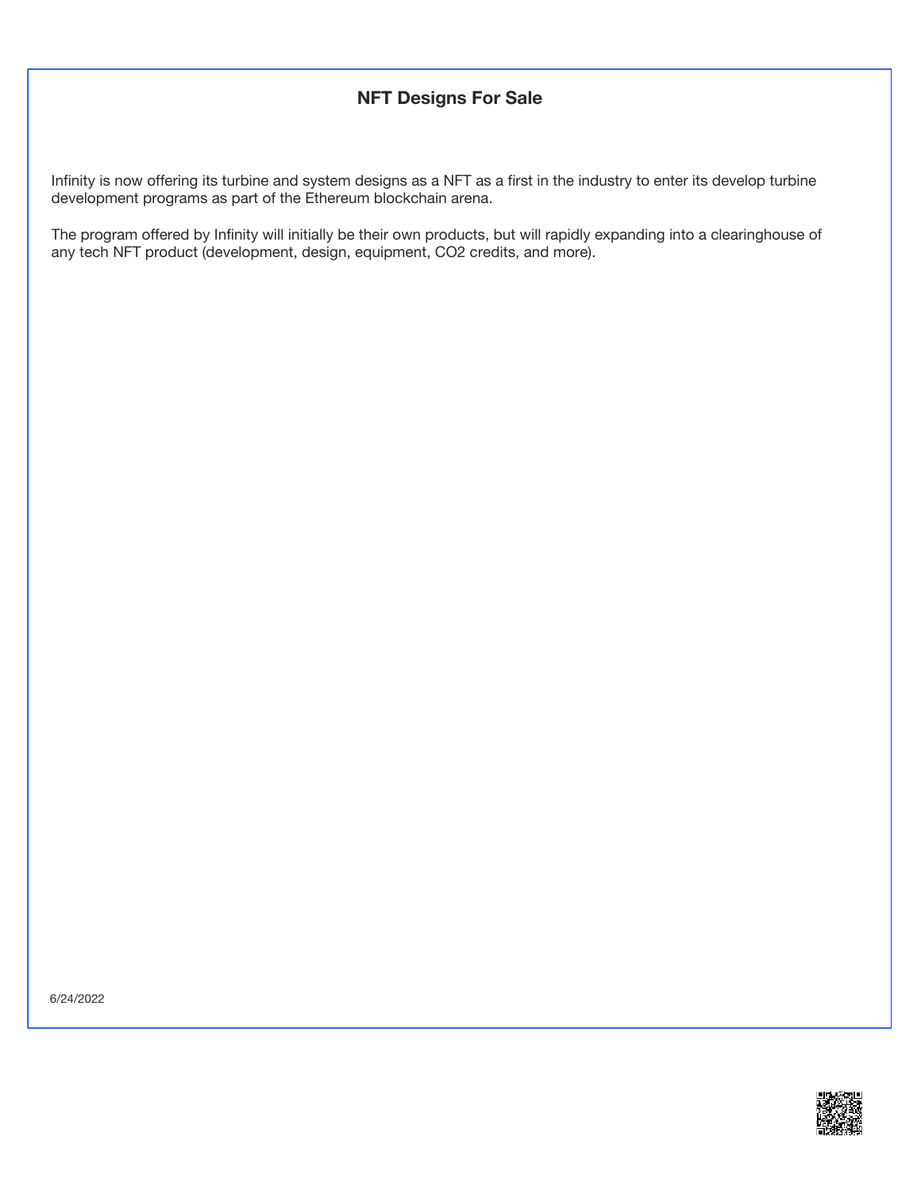#### **NFT Designs For Sale**

Infinity is now offering its turbine and system designs as a NFT as a first in the industry to enter its develop turbine development programs as part of the Ethereum blockchain arena.

The program offered by Infinity will initially be their own products, but will rapidly expanding into a clearinghouse of any tech NFT product (development, design, equipment, CO2 credits, and more).

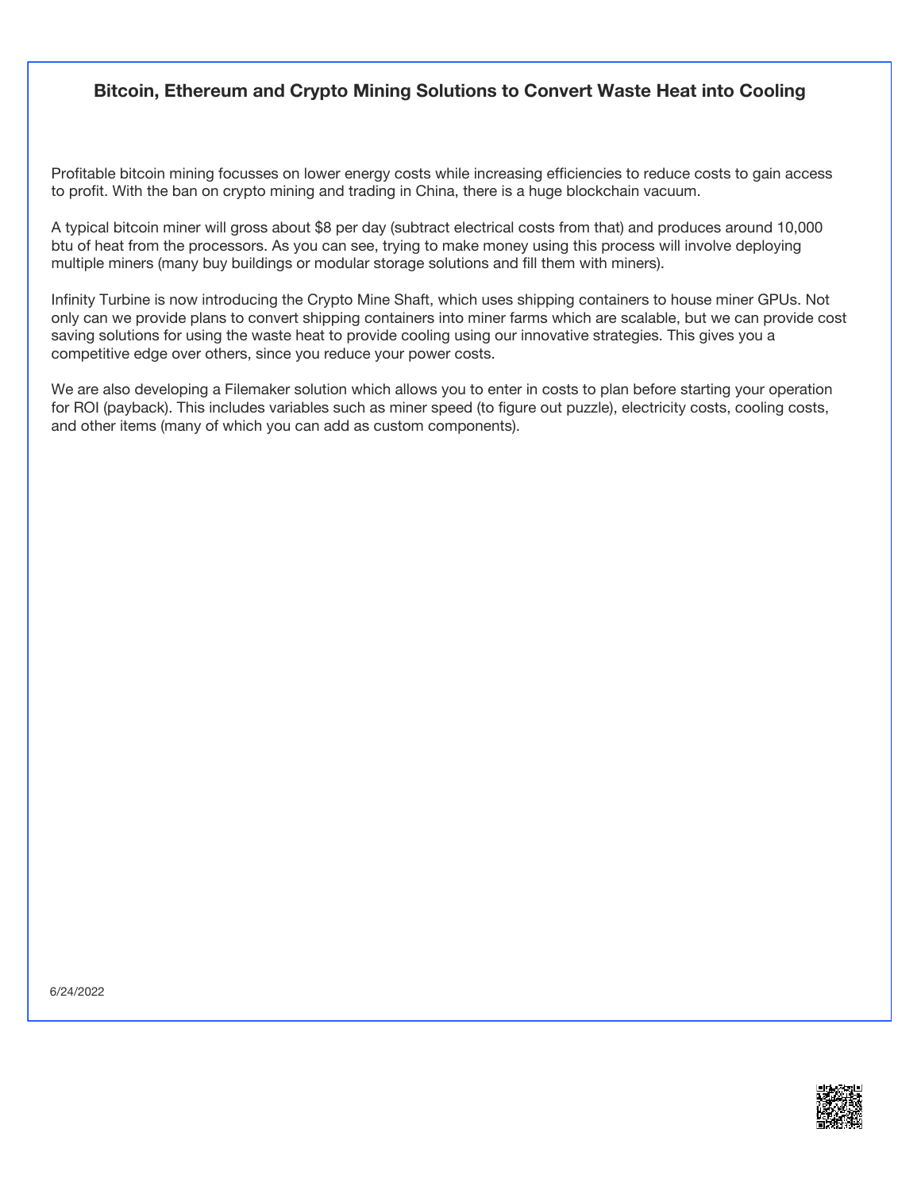#### **Bitcoin, Ethereum and Crypto Mining Solutions to Convert Waste Heat into Cooling**

Profitable bitcoin mining focusses on lower energy costs while increasing efficiencies to reduce costs to gain access to profit. With the ban on crypto mining and trading in China, there is a huge blockchain vacuum.

A typical bitcoin miner will gross about \$8 per day (subtract electrical costs from that) and produces around 10,000 btu of heat from the processors. As you can see, trying to make money using this process will involve deploying multiple miners (many buy buildings or modular storage solutions and fill them with miners).

Infinity Turbine is now introducing the Crypto Mine Shaft, which uses shipping containers to house miner GPUs. Not only can we provide plans to convert shipping containers into miner farms which are scalable, but we can provide cost saving solutions for using the waste heat to provide cooling using our innovative strategies. This gives you a competitive edge over others, since you reduce your power costs.

We are also developing a Filemaker solution which allows you to enter in costs to plan before starting your operation for ROI (payback). This includes variables such as miner speed (to figure out puzzle), electricity costs, cooling costs, and other items (many of which you can add as custom components).

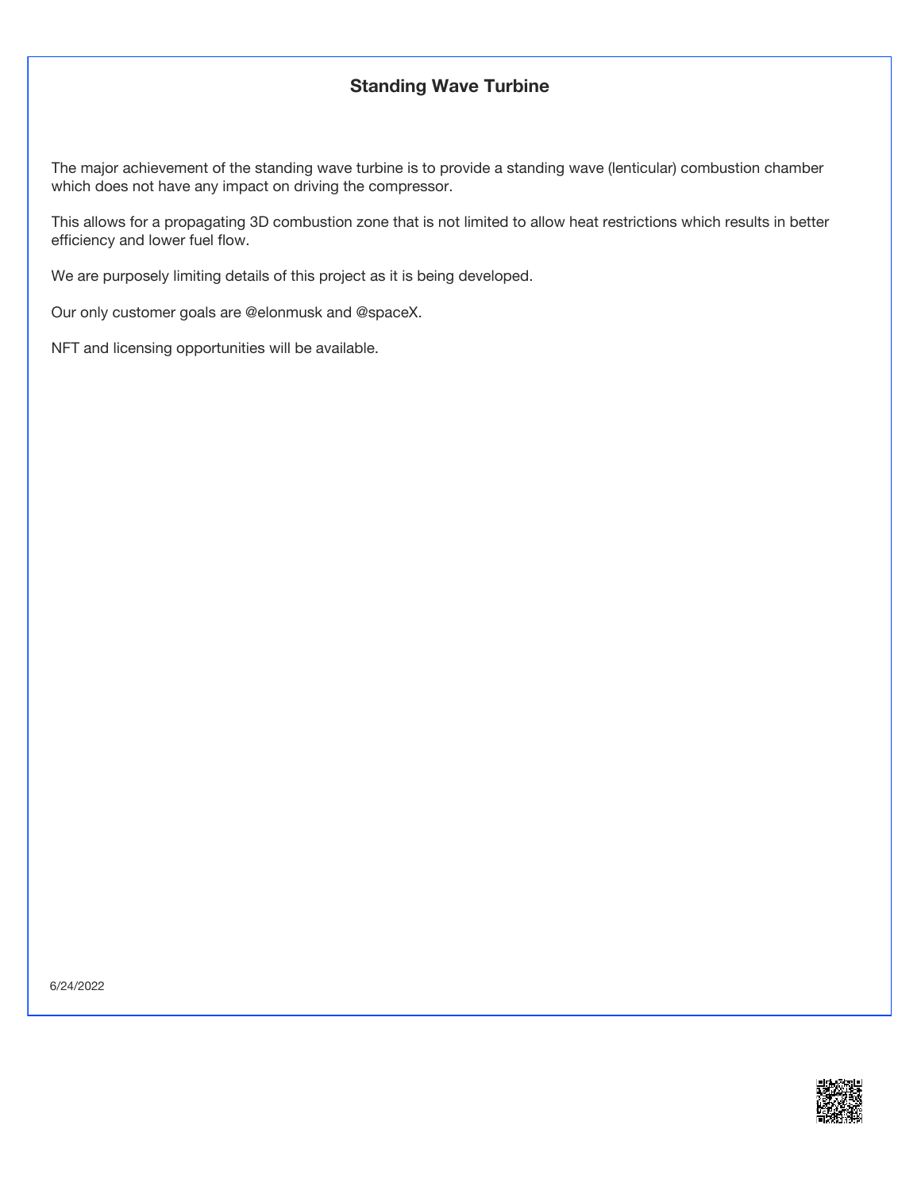#### **Standing Wave Turbine**

The major achievement of the standing wave turbine is to provide a standing wave (lenticular) combustion chamber which does not have any impact on driving the compressor.

This allows for a propagating 3D combustion zone that is not limited to allow heat restrictions which results in better efficiency and lower fuel flow.

We are purposely limiting details of this project as it is being developed.

Our only customer goals are @elonmusk and @spaceX.

NFT and licensing opportunities will be available.

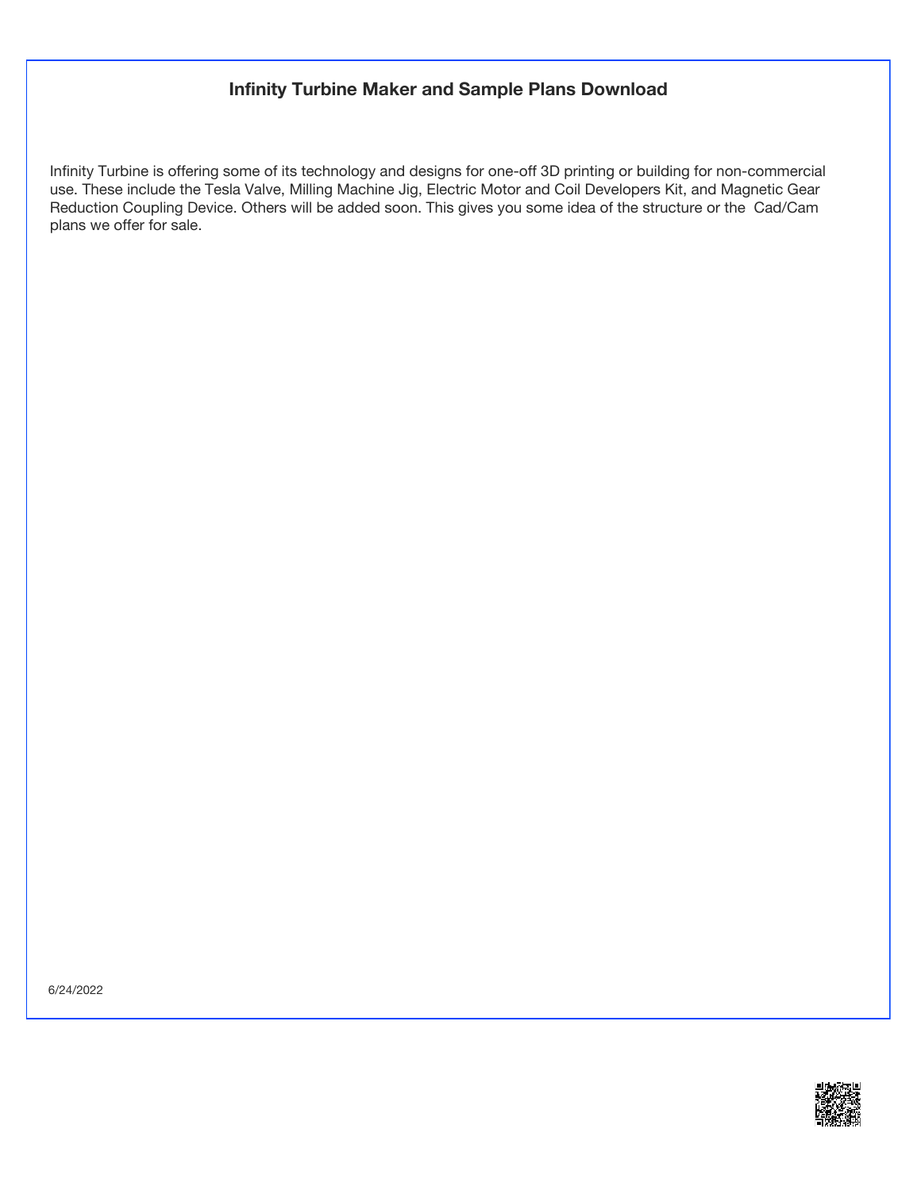#### **Infinity Turbine Maker and Sample Plans Download**

Infinity Turbine is offering some of its technology and designs for one-off 3D printing or building for non-commercial use. These include the Tesla Valve, Milling Machine Jig, Electric Motor and Coil Developers Kit, and Magnetic Gear Reduction Coupling Device. Others will be added soon. This gives you some idea of the structure or the Cad/Cam plans we offer for sale.

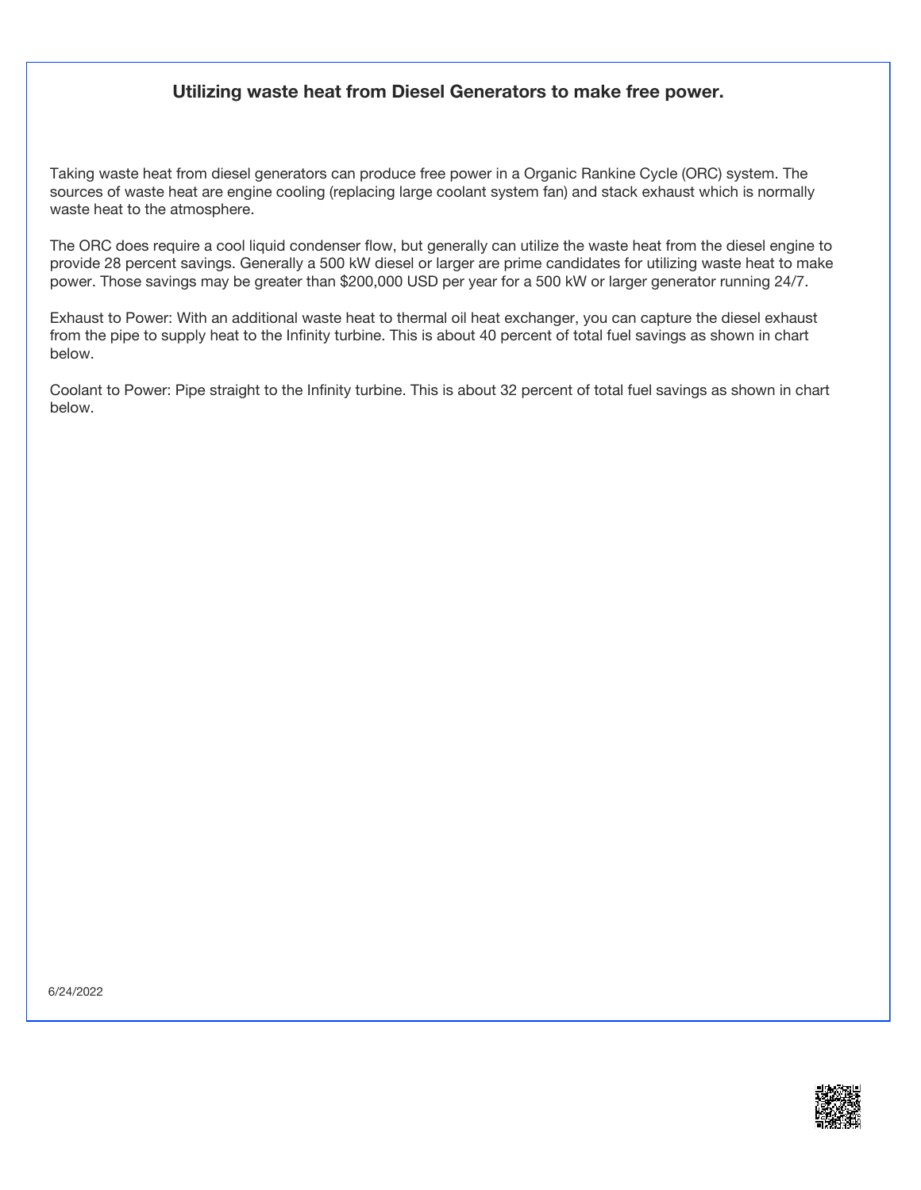#### **Utilizing waste heat from Diesel Generators to make free power.**

Taking waste heat from diesel generators can produce free power in a Organic Rankine Cycle (ORC) system. The sources of waste heat are engine cooling (replacing large coolant system fan) and stack exhaust which is normally waste heat to the atmosphere.

The ORC does require a cool liquid condenser flow, but generally can utilize the waste heat from the diesel engine to provide 28 percent savings. Generally a 500 kW diesel or larger are prime candidates for utilizing waste heat to make power. Those savings may be greater than \$200,000 USD per year for a 500 kW or larger generator running 24/7.

Exhaust to Power: With an additional waste heat to thermal oil heat exchanger, you can capture the diesel exhaust from the pipe to supply heat to the Infinity turbine. This is about 40 percent of total fuel savings as shown in chart below.

Coolant to Power: Pipe straight to the Infinity turbine. This is about 32 percent of total fuel savings as shown in chart below.

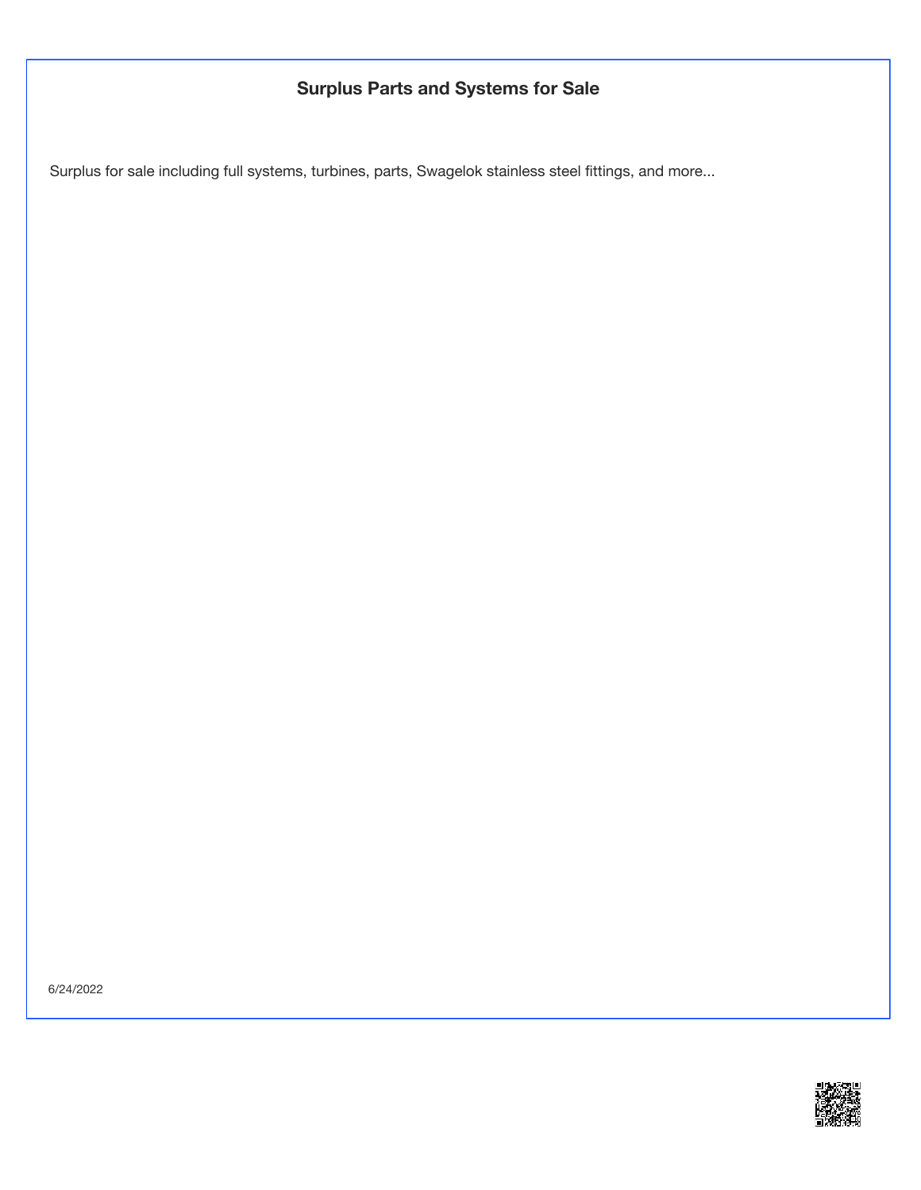## **Surplus Parts and Systems for Sale**

Surplus for sale including full systems, turbines, parts, Swagelok stainless steel fittings, and more...

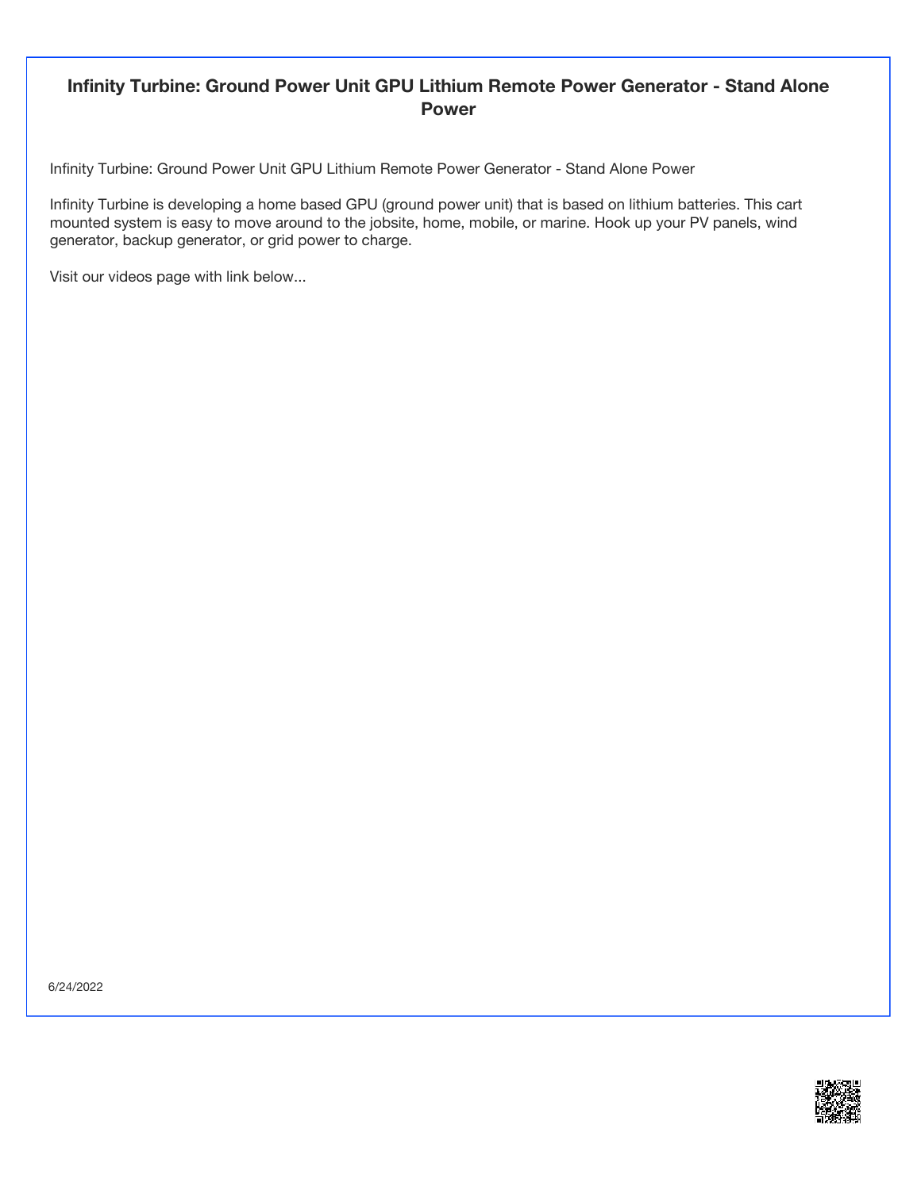#### **Infinity Turbine: Ground Power Unit GPU Lithium Remote Power Generator - Stand Alone Power**

Infinity Turbine: Ground Power Unit GPU Lithium Remote Power Generator - Stand Alone Power

Infinity Turbine is developing a home based GPU (ground power unit) that is based on lithium batteries. This cart mounted system is easy to move around to the jobsite, home, mobile, or marine. Hook up your PV panels, wind generator, backup generator, or grid power to charge.

Visit our videos page with link below...

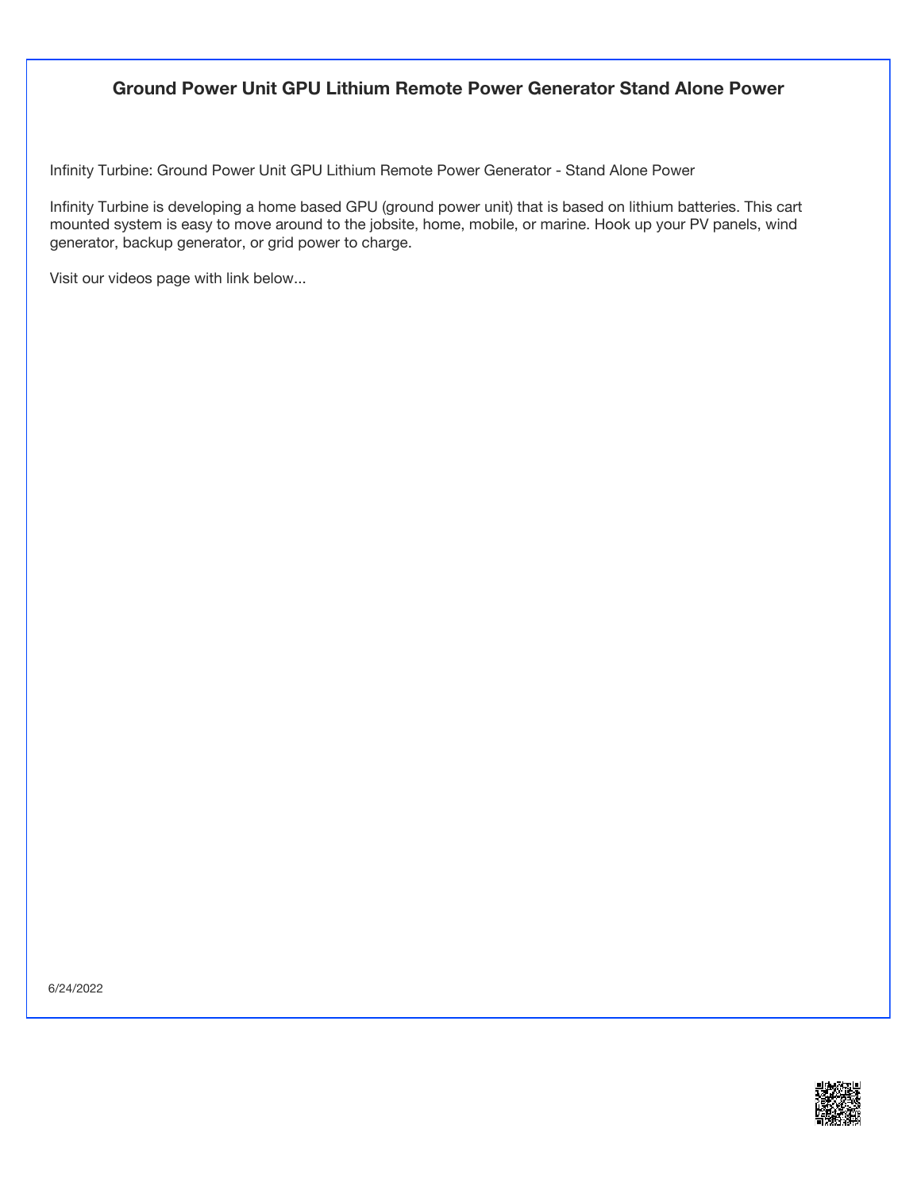#### **Ground Power Unit GPU Lithium Remote Power Generator Stand Alone Power**

Infinity Turbine: Ground Power Unit GPU Lithium Remote Power Generator - Stand Alone Power

Infinity Turbine is developing a home based GPU (ground power unit) that is based on lithium batteries. This cart mounted system is easy to move around to the jobsite, home, mobile, or marine. Hook up your PV panels, wind generator, backup generator, or grid power to charge.

Visit our videos page with link below...

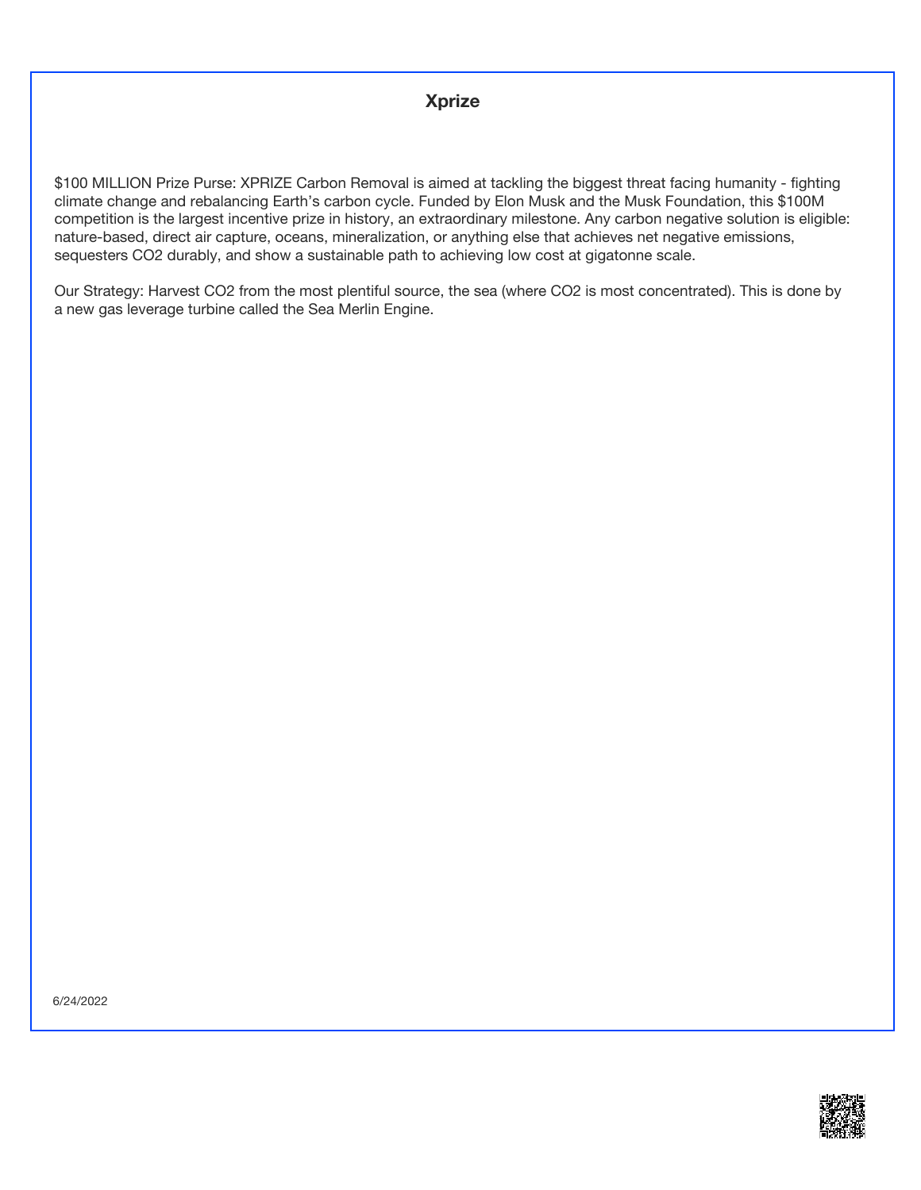#### **Xprize**

\$100 MILLION Prize Purse: XPRIZE Carbon Removal is aimed at tackling the biggest threat facing humanity - fighting climate change and rebalancing Earth's carbon cycle. Funded by Elon Musk and the Musk Foundation, this \$100M competition is the largest incentive prize in history, an extraordinary milestone. Any carbon negative solution is eligible: nature-based, direct air capture, oceans, mineralization, or anything else that achieves net negative emissions, sequesters CO2 durably, and show a sustainable path to achieving low cost at gigatonne scale.

Our Strategy: Harvest CO2 from the most plentiful source, the sea (where CO2 is most concentrated). This is done by a new gas leverage turbine called the Sea Merlin Engine.

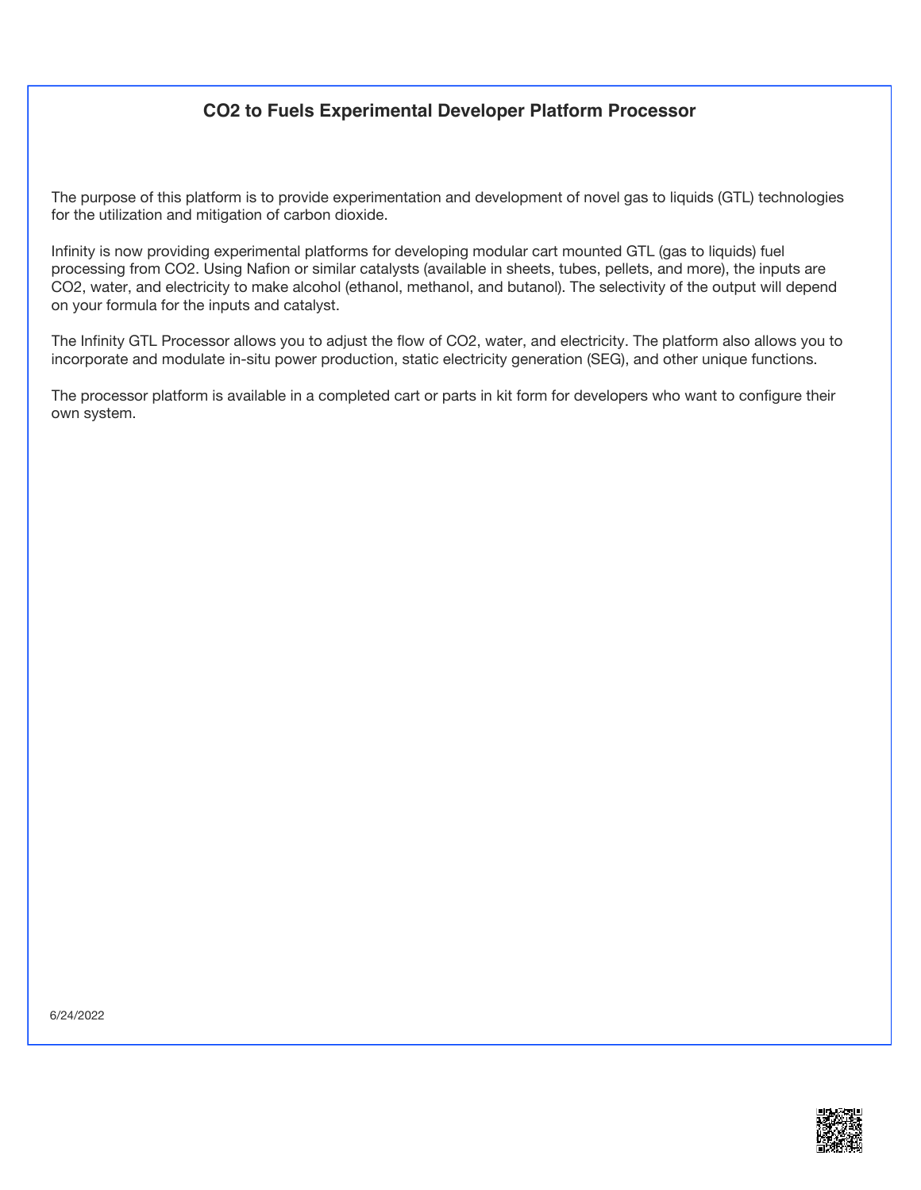## **CO2 to Fuels Experimental Developer Platform Processor**

The purpose of this platform is to provide experimentation and development of novel gas to liquids (GTL) technologies for the utilization and mitigation of carbon dioxide.

Infinity is now providing experimental platforms for developing modular cart mounted GTL (gas to liquids) fuel processing from CO2. Using Nafion or similar catalysts (available in sheets, tubes, pellets, and more), the inputs are CO2, water, and electricity to make alcohol (ethanol, methanol, and butanol). The selectivity of the output will depend on your formula for the inputs and catalyst.

The Infinity GTL Processor allows you to adjust the flow of CO2, water, and electricity. The platform also allows you to incorporate and modulate in-situ power production, static electricity generation (SEG), and other unique functions.

The processor platform is available in a completed cart or parts in kit form for developers who want to configure their own system.

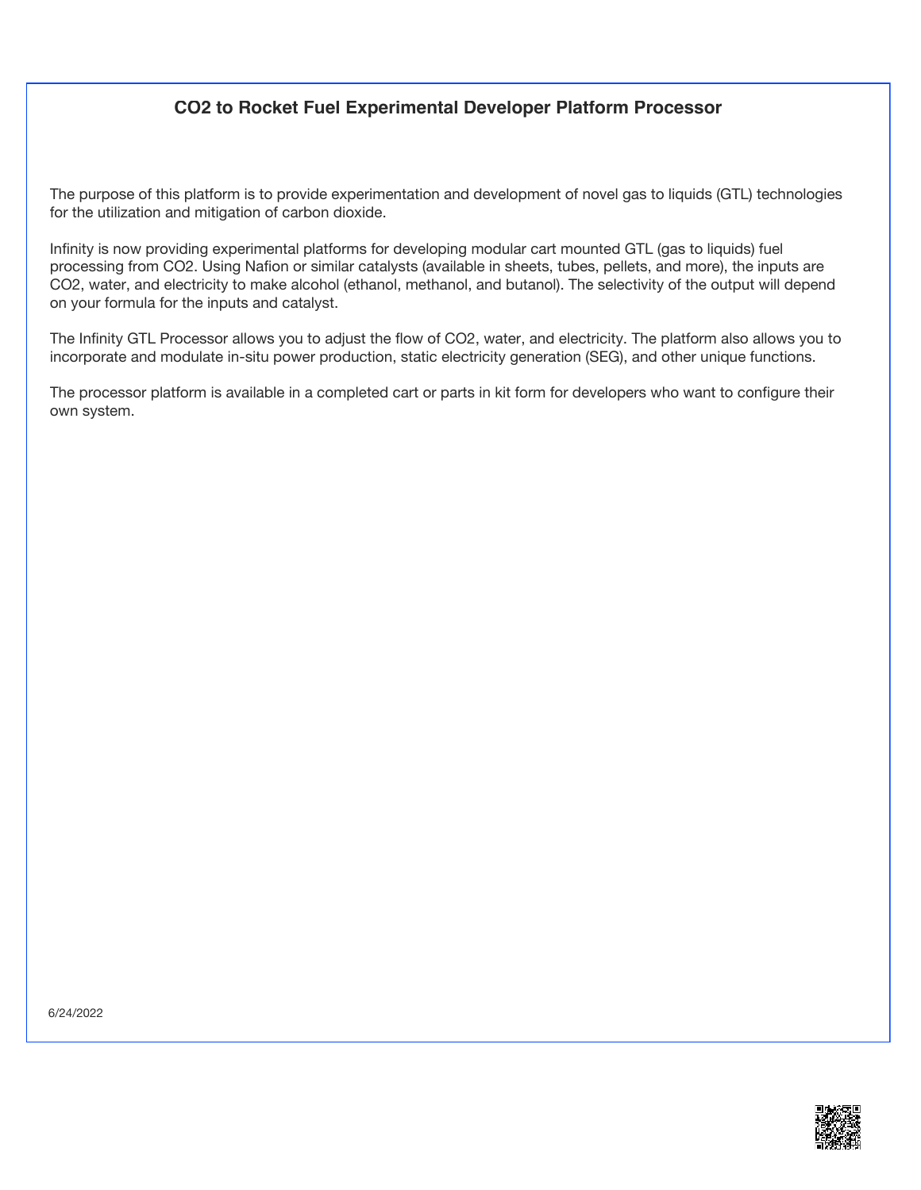### **CO2 to Rocket Fuel Experimental Developer Platform Processor**

The purpose of this platform is to provide experimentation and development of novel gas to liquids (GTL) technologies for the utilization and mitigation of carbon dioxide.

Infinity is now providing experimental platforms for developing modular cart mounted GTL (gas to liquids) fuel processing from CO2. Using Nafion or similar catalysts (available in sheets, tubes, pellets, and more), the inputs are CO2, water, and electricity to make alcohol (ethanol, methanol, and butanol). The selectivity of the output will depend on your formula for the inputs and catalyst.

The Infinity GTL Processor allows you to adjust the flow of CO2, water, and electricity. The platform also allows you to incorporate and modulate in-situ power production, static electricity generation (SEG), and other unique functions.

The processor platform is available in a completed cart or parts in kit form for developers who want to configure their own system.

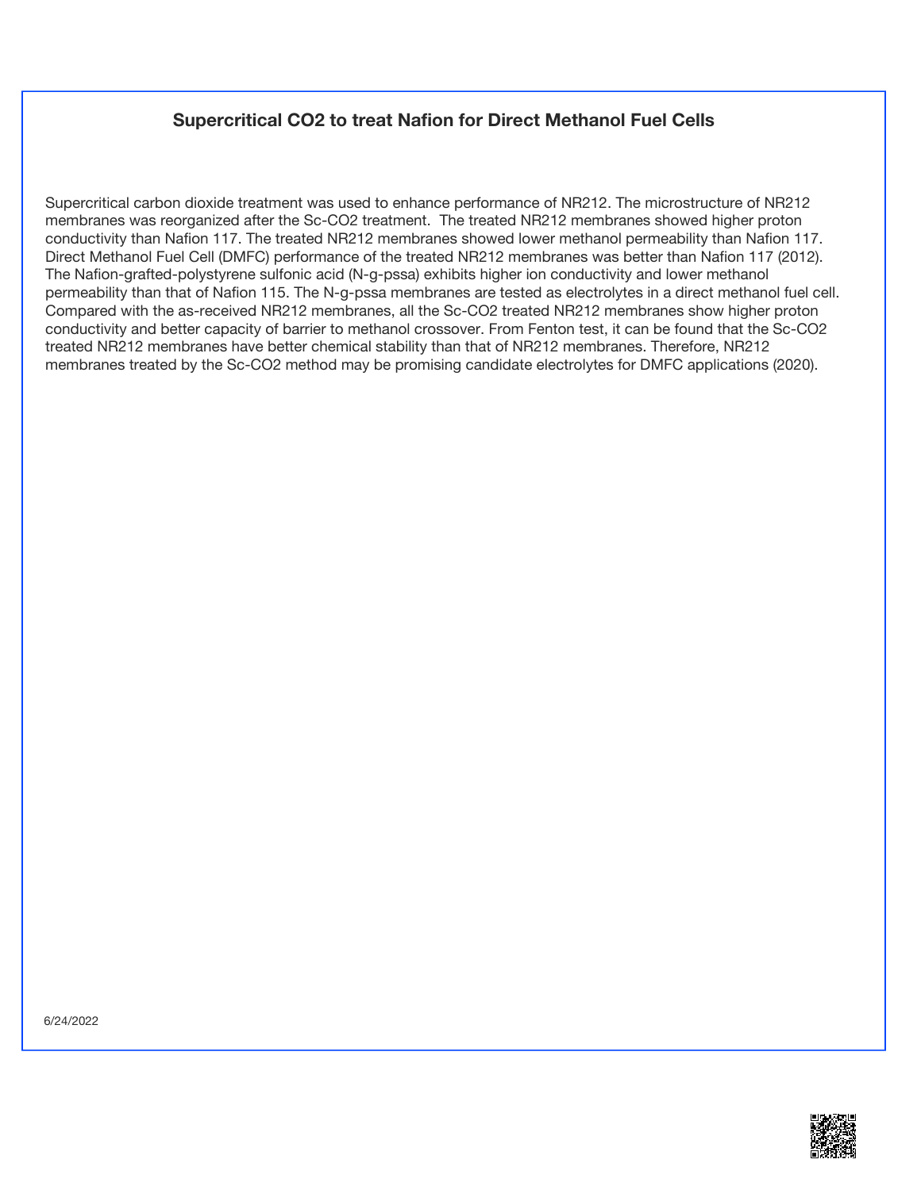#### **Supercritical CO2 to treat Nafion for Direct Methanol Fuel Cells**

Supercritical carbon dioxide treatment was used to enhance performance of NR212. The microstructure of NR212 membranes was reorganized after the Sc-CO2 treatment. The treated NR212 membranes showed higher proton conductivity than Nafion 117. The treated NR212 membranes showed lower methanol permeability than Nafion 117. Direct Methanol Fuel Cell (DMFC) performance of the treated NR212 membranes was better than Nafion 117 (2012). The Nafion-grafted-polystyrene sulfonic acid (N-g-pssa) exhibits higher ion conductivity and lower methanol permeability than that of Nafion 115. The N-g-pssa membranes are tested as electrolytes in a direct methanol fuel cell. Compared with the as-received NR212 membranes, all the Sc-CO2 treated NR212 membranes show higher proton conductivity and better capacity of barrier to methanol crossover. From Fenton test, it can be found that the Sc-CO2 treated NR212 membranes have better chemical stability than that of NR212 membranes. Therefore, NR212 membranes treated by the Sc-CO2 method may be promising candidate electrolytes for DMFC applications (2020).

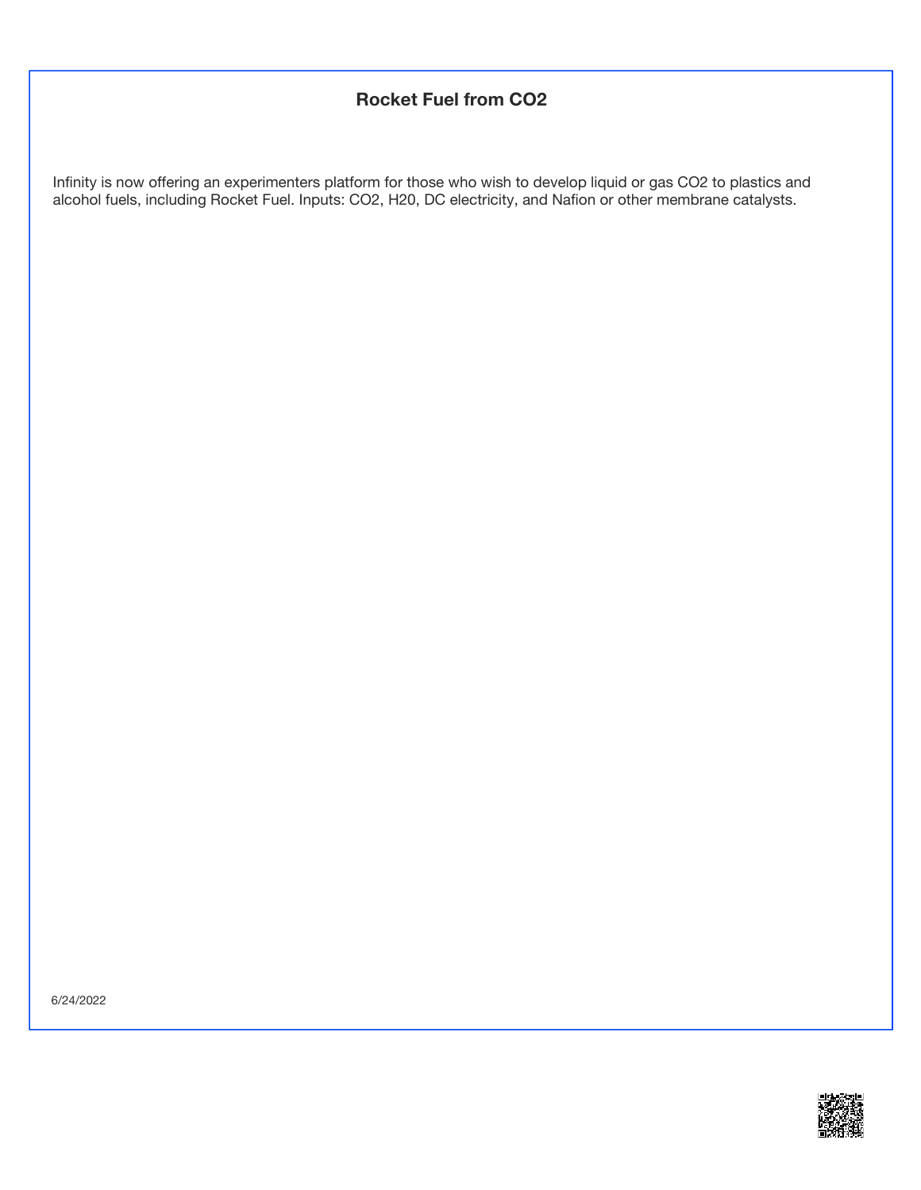## **Rocket Fuel from CO2**

Infinity is now offering an experimenters platform for those who wish to develop liquid or gas CO2 to plastics and alcohol fuels, including Rocket Fuel. Inputs: CO2, H20, DC electricity, and Nafion or other membrane catalysts.

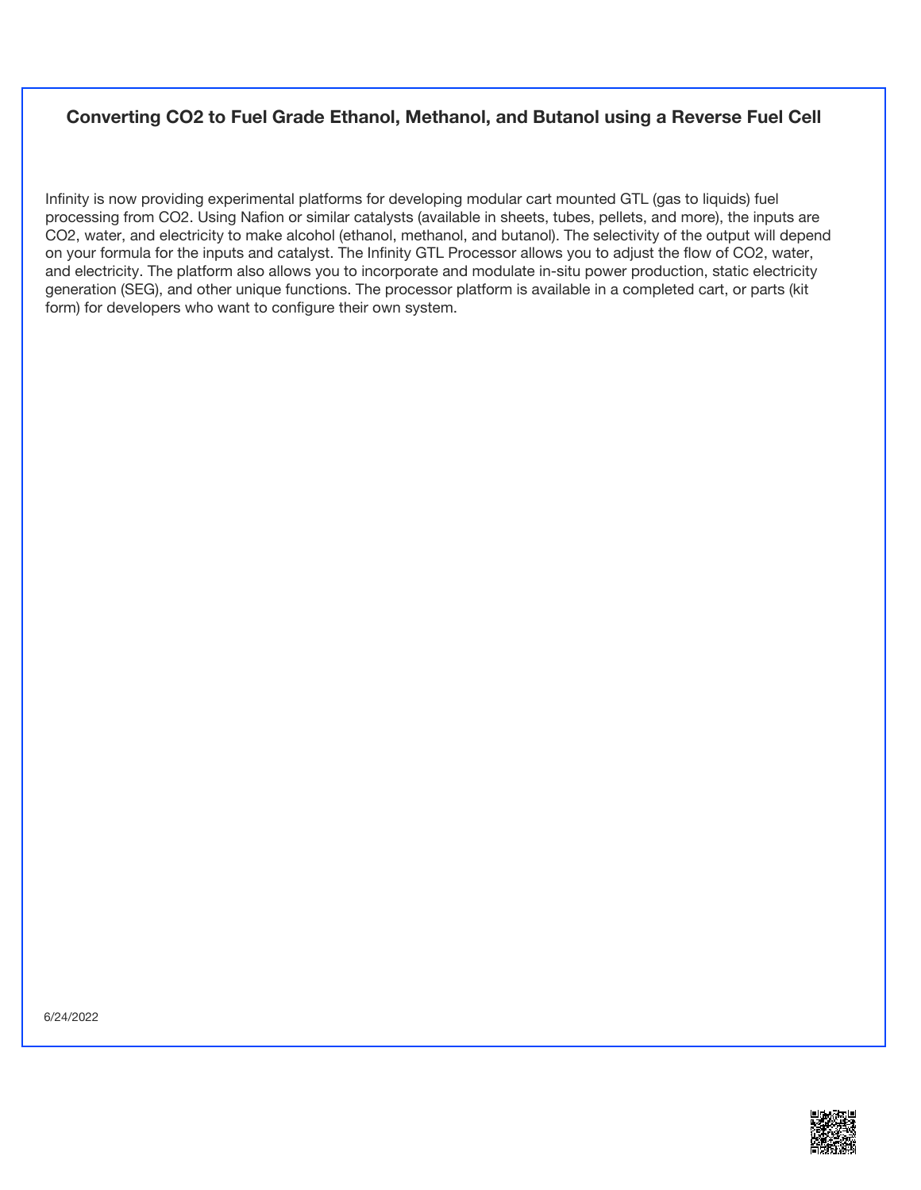### **Converting CO2 to Fuel Grade Ethanol, Methanol, and Butanol using a Reverse Fuel Cell**

Infinity is now providing experimental platforms for developing modular cart mounted GTL (gas to liquids) fuel processing from CO2. Using Nafion or similar catalysts (available in sheets, tubes, pellets, and more), the inputs are CO2, water, and electricity to make alcohol (ethanol, methanol, and butanol). The selectivity of the output will depend on your formula for the inputs and catalyst. The Infinity GTL Processor allows you to adjust the flow of CO2, water, and electricity. The platform also allows you to incorporate and modulate in-situ power production, static electricity generation (SEG), and other unique functions. The processor platform is available in a completed cart, or parts (kit form) for developers who want to configure their own system.

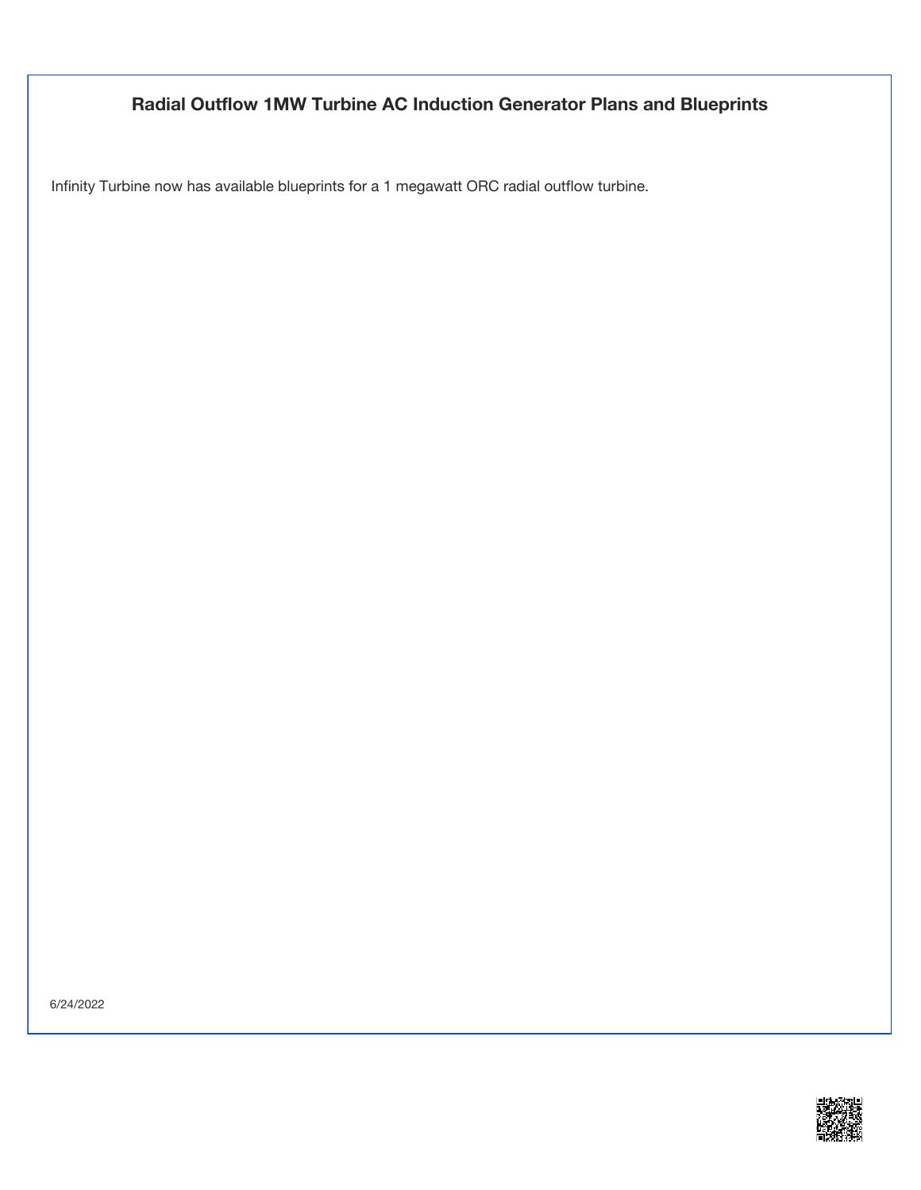## **Radial Outflow 1MW Turbine AC Induction Generator Plans and Blueprints**

Infinity Turbine now has available blueprints for a 1 megawatt ORC radial outflow turbine.

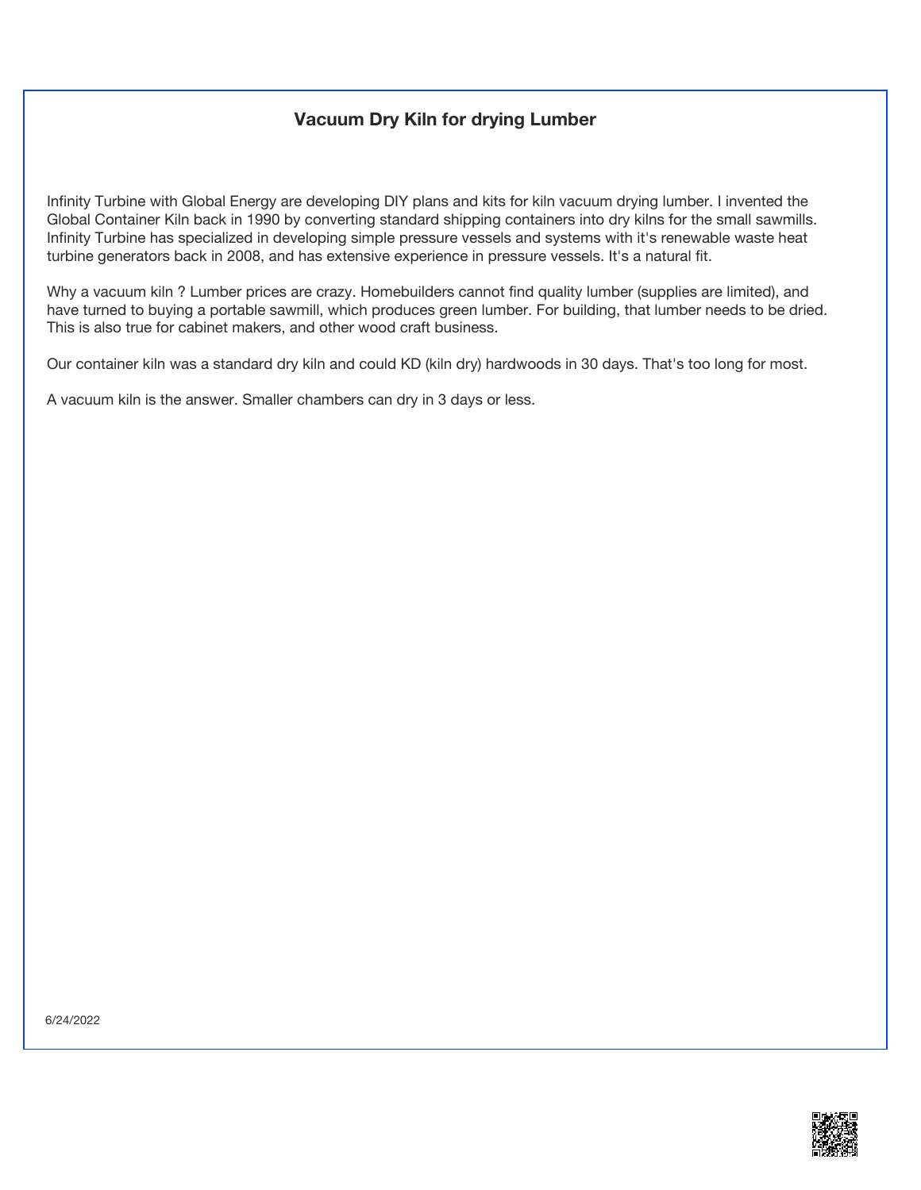### **Vacuum Dry Kiln for drying Lumber**

Infinity Turbine with Global Energy are developing DIY plans and kits for kiln vacuum drying lumber. I invented the Global Container Kiln back in 1990 by converting standard shipping containers into dry kilns for the small sawmills. Infinity Turbine has specialized in developing simple pressure vessels and systems with it's renewable waste heat turbine generators back in 2008, and has extensive experience in pressure vessels. It's a natural fit.

Why a vacuum kiln ? Lumber prices are crazy. Homebuilders cannot find quality lumber (supplies are limited), and have turned to buying a portable sawmill, which produces green lumber. For building, that lumber needs to be dried. This is also true for cabinet makers, and other wood craft business.

Our container kiln was a standard dry kiln and could KD (kiln dry) hardwoods in 30 days. That's too long for most.

A vacuum kiln is the answer. Smaller chambers can dry in 3 days or less.